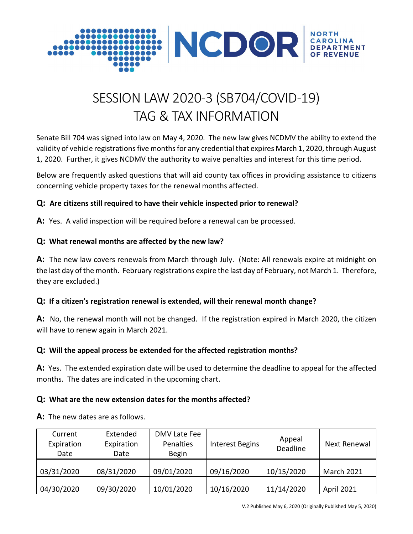

# SESSION LAW 2020-3 (SB704/COVID-19) TAG & TAX INFORMATION

Senate Bill 704 was signed into law on May 4, 2020. The new law gives NCDMV the ability to extend the validity of vehicle registrations five months for any credential that expires March 1, 2020, through August 1, 2020. Further, it gives NCDMV the authority to waive penalties and interest for this time period.

Below are frequently asked questions that will aid county tax offices in providing assistance to citizens concerning vehicle property taxes for the renewal months affected.

#### **Q: Are citizens still required to have their vehicle inspected prior to renewal?**

**A:** Yes. A valid inspection will be required before a renewal can be processed.

## **Q: What renewal months are affected by the new law?**

**A:** The new law covers renewals from March through July. (Note: All renewals expire at midnight on the last day of the month. February registrations expire the last day of February, not March 1. Therefore, they are excluded.)

#### **Q: If a citizen's registration renewal is extended, will their renewal month change?**

**A:** No, the renewal month will not be changed. If the registration expired in March 2020, the citizen will have to renew again in March 2021.

# **Q: Will the appeal process be extended for the affected registration months?**

**A:** Yes. The extended expiration date will be used to determine the deadline to appeal for the affected months. The dates are indicated in the upcoming chart.

#### **Q: What are the new extension dates for the months affected?**

**A:** The new dates are as follows.

| Current<br>Expiration<br>Date | Extended<br>Expiration<br>Date | DMV Late Fee<br>Penalties<br><b>Begin</b> | <b>Interest Begins</b> | Appeal<br>Deadline | Next Renewal      |
|-------------------------------|--------------------------------|-------------------------------------------|------------------------|--------------------|-------------------|
| 03/31/2020                    | 08/31/2020                     | 09/01/2020                                | 09/16/2020             | 10/15/2020         | <b>March 2021</b> |
| 04/30/2020                    | 09/30/2020                     | 10/01/2020                                | 10/16/2020             | 11/14/2020         | <b>April 2021</b> |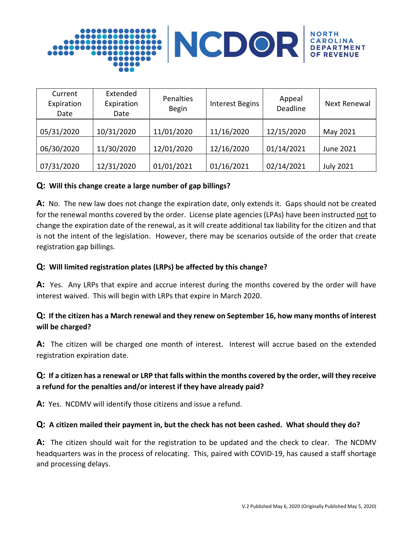

| Current<br>Expiration<br>Date | Extended<br>Expiration<br>Date | Penalties<br><b>Begin</b> | <b>Interest Begins</b> | Appeal<br>Deadline | <b>Next Renewal</b> |
|-------------------------------|--------------------------------|---------------------------|------------------------|--------------------|---------------------|
| 05/31/2020                    | 10/31/2020                     | 11/01/2020                | 11/16/2020             | 12/15/2020         | May 2021            |
| 06/30/2020                    | 11/30/2020                     | 12/01/2020                | 12/16/2020             | 01/14/2021         | June 2021           |
| 07/31/2020                    | 12/31/2020                     | 01/01/2021                | 01/16/2021             | 02/14/2021         | <b>July 2021</b>    |

#### **Q: Will this change create a large number of gap billings?**

**A:** No. The new law does not change the expiration date, only extends it. Gaps should not be created for the renewal months covered by the order. License plate agencies (LPAs) have been instructed not to change the expiration date of the renewal, as it will create additional tax liability for the citizen and that is not the intent of the legislation. However, there may be scenarios outside of the order that create registration gap billings.

#### **Q: Will limited registration plates (LRPs) be affected by this change?**

**A:** Yes. Any LRPs that expire and accrue interest during the months covered by the order will have interest waived. This will begin with LRPs that expire in March 2020.

## **Q: If the citizen has a March renewal and they renew on September 16, how many months of interest will be charged?**

A: The citizen will be charged one month of interest. Interest will accrue based on the extended registration expiration date.

# **Q: If a citizen has a renewal or LRP that falls within the months covered by the order, will they receive a refund for the penalties and/or interest if they have already paid?**

**A:** Yes. NCDMV will identify those citizens and issue a refund.

#### **Q: A citizen mailed their payment in, but the check has not been cashed. What should they do?**

**A:** The citizen should wait for the registration to be updated and the check to clear. The NCDMV headquarters was in the process of relocating. This, paired with COVID-19, has caused a staff shortage and processing delays.